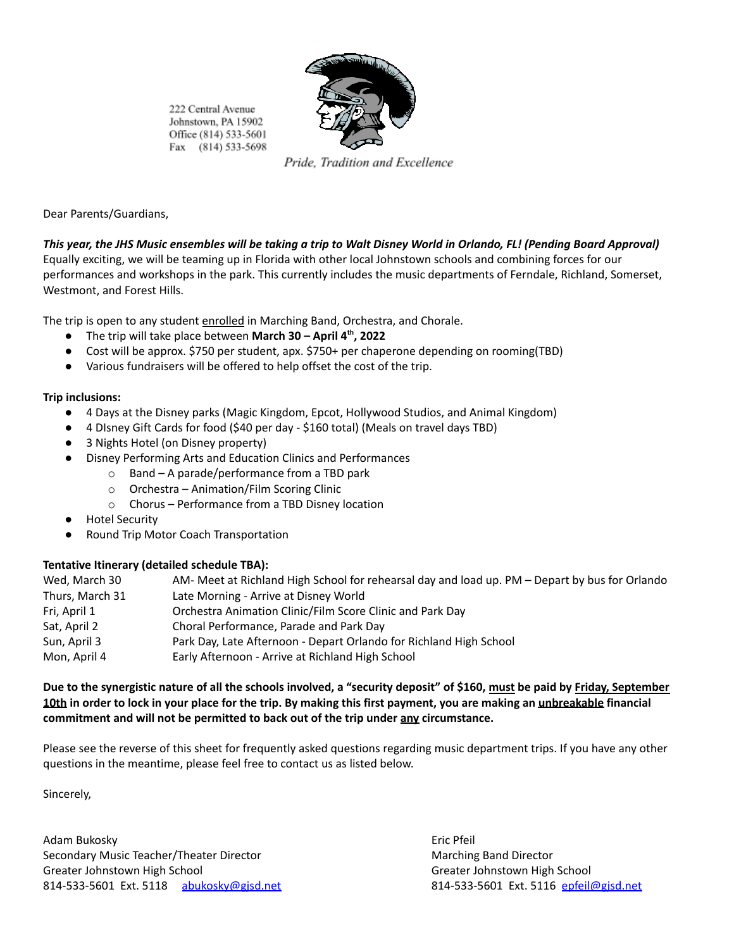

222 Central Avenue Johnstown, PA 15902 Office (814) 533-5601 Fax (814) 533-5698

Pride, Tradition and Excellence

Dear Parents/Guardians,

#### *This year, the JHS Music ensembles will be taking a trip to Walt Disney World in Orlando, FL! (Pending Board Approval)*

Equally exciting, we will be teaming up in Florida with other local Johnstown schools and combining forces for our performances and workshops in the park. This currently includes the music departments of Ferndale, Richland, Somerset, Westmont, and Forest Hills.

The trip is open to any student enrolled in Marching Band, Orchestra, and Chorale.

- The trip will take place between **March 30 April 4 th , 2022**
- Cost will be approx. \$750 per student, apx. \$750+ per chaperone depending on rooming(TBD)
- Various fundraisers will be offered to help offset the cost of the trip.

#### **Trip inclusions:**

- 4 Days at the Disney parks (Magic Kingdom, Epcot, Hollywood Studios, and Animal Kingdom)
- 4 DIsney Gift Cards for food (\$40 per day \$160 total) (Meals on travel days TBD)
- 3 Nights Hotel (on Disney property)
- Disney Performing Arts and Education Clinics and Performances
	- o Band A parade/performance from a TBD park
	- o Orchestra Animation/Film Scoring Clinic
	- o Chorus Performance from a TBD Disney location
- **Hotel Security**
- Round Trip Motor Coach Transportation

#### **Tentative Itinerary (detailed schedule TBA):**

| Wed, March 30   | AM- Meet at Richland High School for rehearsal day and load up. PM – Depart by bus for Orlando |
|-----------------|------------------------------------------------------------------------------------------------|
| Thurs, March 31 | Late Morning - Arrive at Disney World                                                          |
| Fri, April 1    | Orchestra Animation Clinic/Film Score Clinic and Park Day                                      |
| Sat, April 2    | Choral Performance, Parade and Park Day                                                        |
| Sun, April 3    | Park Day, Late Afternoon - Depart Orlando for Richland High School                             |
| Mon, April 4    | Early Afternoon - Arrive at Richland High School                                               |
|                 |                                                                                                |

#### **Due to the synergistic nature of all the schools involved, a "security deposit" of \$160, must be paid by Friday, September 10th in order to lock in your place for the trip. By making this first payment, you are making an unbreakable financial commitment and will not be permitted to back out of the trip under any circumstance.**

Please see the reverse of this sheet for frequently asked questions regarding music department trips. If you have any other questions in the meantime, please feel free to contact us as listed below.

Sincerely,

Adam Bukosky Eric Pfeil Secondary Music Teacher/Theater Director **Marching Band Director** Marching Band Director Greater Johnstown High School Greater Johnstown High School 814-533-5601 Ext. 5118 [abukosky@gjsd.net](mailto:abukosky@gjsd.net) 814-533-5601 Ext. 5116 [epfeil@gjsd.net](mailto:epfeil@gjsd.net)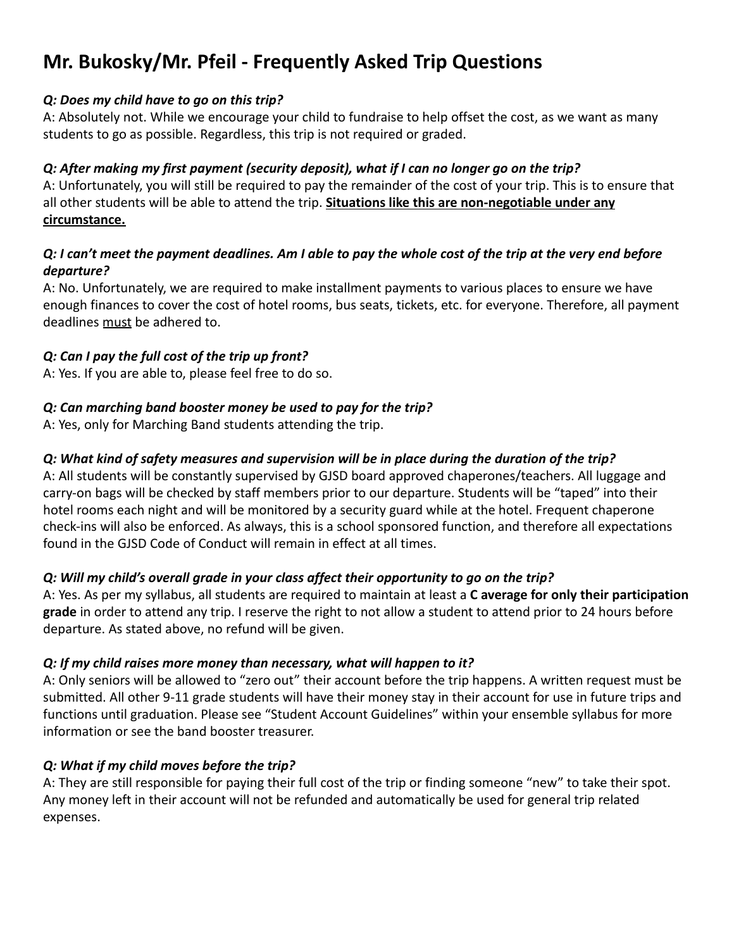## **Mr. Bukosky/Mr. Pfeil - Frequently Asked Trip Questions**

#### *Q: Does my child have to go on this trip?*

A: Absolutely not. While we encourage your child to fundraise to help offset the cost, as we want as many students to go as possible. Regardless, this trip is not required or graded.

#### *Q: After making my first payment (security deposit), what if I can no longer go on the trip?*

A: Unfortunately, you will still be required to pay the remainder of the cost of your trip. This is to ensure that all other students will be able to attend the trip. **Situations like this are non-negotiable under any circumstance.**

#### *Q: I can't meet the payment deadlines. Am I able to pay the whole cost of the trip at the very end before departure?*

A: No. Unfortunately, we are required to make installment payments to various places to ensure we have enough finances to cover the cost of hotel rooms, bus seats, tickets, etc. for everyone. Therefore, all payment deadlines must be adhered to.

#### *Q: Can I pay the full cost of the trip up front?*

A: Yes. If you are able to, please feel free to do so.

#### *Q: Can marching band booster money be used to pay for the trip?*

A: Yes, only for Marching Band students attending the trip.

#### *Q: What kind of safety measures and supervision will be in place during the duration of the trip?*

A: All students will be constantly supervised by GJSD board approved chaperones/teachers. All luggage and carry-on bags will be checked by staff members prior to our departure. Students will be "taped" into their hotel rooms each night and will be monitored by a security guard while at the hotel. Frequent chaperone check-ins will also be enforced. As always, this is a school sponsored function, and therefore all expectations found in the GJSD Code of Conduct will remain in effect at all times.

#### *Q: Will my child's overall grade in your class affect their opportunity to go on the trip?*

A: Yes. As per my syllabus, all students are required to maintain at least a **C average for only their participation grade** in order to attend any trip. I reserve the right to not allow a student to attend prior to 24 hours before departure. As stated above, no refund will be given.

#### *Q: If my child raises more money than necessary, what will happen to it?*

A: Only seniors will be allowed to "zero out" their account before the trip happens. A written request must be submitted. All other 9-11 grade students will have their money stay in their account for use in future trips and functions until graduation. Please see "Student Account Guidelines" within your ensemble syllabus for more information or see the band booster treasurer.

#### *Q: What if my child moves before the trip?*

A: They are still responsible for paying their full cost of the trip or finding someone "new" to take their spot. Any money left in their account will not be refunded and automatically be used for general trip related expenses.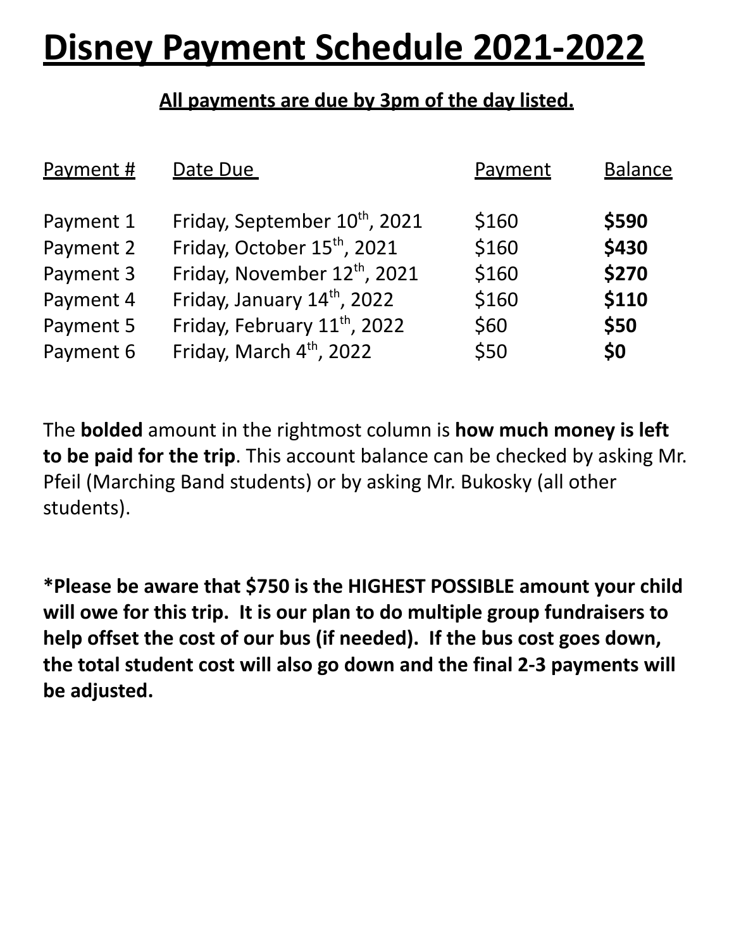# **Disney Payment Schedule 2021-2022**

## **All payments are due by 3pm of the day listed.**

| Payment # | Date Due                                 | Payment | <b>Balance</b> |
|-----------|------------------------------------------|---------|----------------|
| Payment 1 | Friday, September 10th, 2021             | \$160   | \$590          |
| Payment 2 | Friday, October 15 <sup>th</sup> , 2021  | \$160   | \$430          |
| Payment 3 | Friday, November 12th, 2021              | \$160   | \$270          |
| Payment 4 | Friday, January $14th$ , 2022            | \$160   | \$110          |
| Payment 5 | Friday, February 11 <sup>th</sup> , 2022 | \$60    | \$50           |
| Payment 6 | Friday, March 4th, 2022                  | \$50    | \$0            |

The **bolded** amount in the rightmost column is **how much money is left to be paid for the trip**. This account balance can be checked by asking Mr. Pfeil (Marching Band students) or by asking Mr. Bukosky (all other students).

**\*Please be aware that \$750 is the HIGHEST POSSIBLE amount your child will owe for this trip. It is our plan to do multiple group fundraisers to help offset the cost of our bus (if needed). If the bus cost goes down, the total student cost will also go down and the final 2-3 payments will be adjusted.**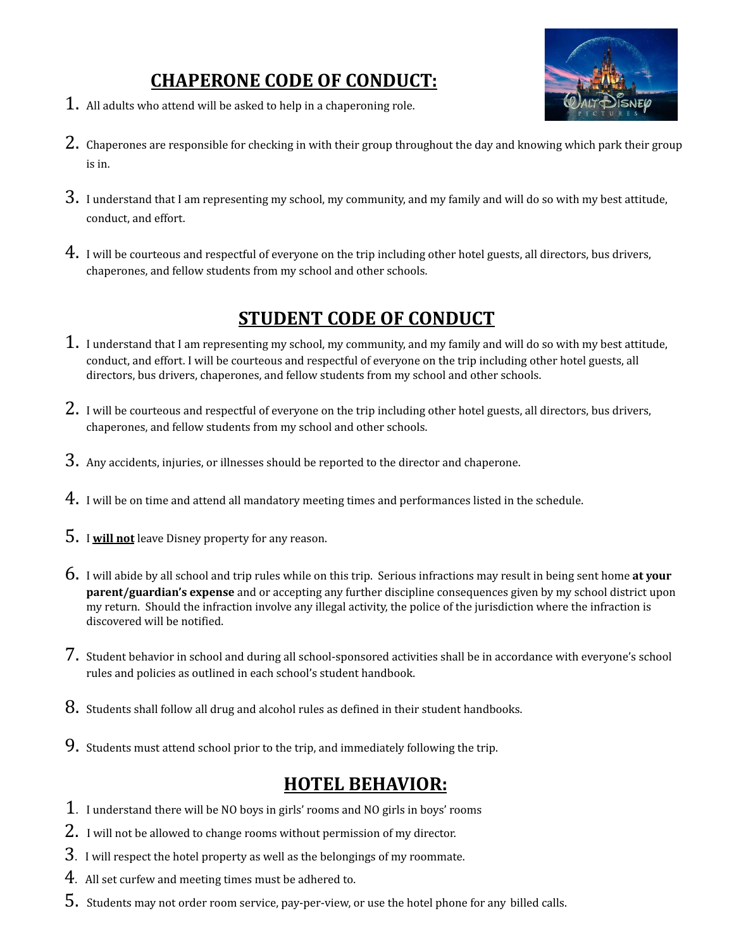## **CHAPERONE CODE OF CONDUCT:**



- $1.$  All adults who attend will be asked to help in a chaperoning role.
- 2. Chaperones are responsible for checking in with their group throughout the day and knowing which park their group is in.
- $3.$  I understand that I am representing my school, my community, and my family and will do so with my best attitude, conduct, and effort.
- $4.$  I will be courteous and respectful of everyone on the trip including other hotel guests, all directors, bus drivers, chaperones, and fellow students from my school and other schools.

## **STUDENT CODE OF CONDUCT**

- $1.$  I understand that I am representing my school, my community, and my family and will do so with my best attitude, conduct, and effort. I will be courteous and respectful of everyone on the trip including other hotel guests, all directors, bus drivers, chaperones, and fellow students from my school and other schools.
- 2. I will be courteous and respectful of everyone on the trip including other hotel guests, all directors, bus drivers, chaperones, and fellow students from my school and other schools.
- 3. Any accidents, injuries, or illnesses should be reported to the director and chaperone.
- 4. <sup>I</sup> will be on time and attend all mandatory meeting times and performances listed in the schedule.
- 5. <sup>I</sup> **will not** leave Disney property for any reason.
- 6. <sup>I</sup> will abide by all school and trip rules while on this trip. Serious infractions may result in being sent home **at your parent/guardian's expense** and or accepting any further discipline consequences given by my school district upon my return. Should the infraction involve any illegal activity, the police of the jurisdiction where the infraction is discovered will be notified.
- 7. Student behavior in school and during all school-sponsored activities shall be in accordance with everyone's school rules and policies as outlined in each school's student handbook.
- 8. Students shall follow all drug and alcohol rules as defined in their student handbooks.
- 9. Students must attend school prior to the trip, and immediately following the trip.

### **HOTEL BEHAVIOR:**

- 1. I understand there will be NO boys in girls' rooms and NO girls in boys' rooms
- 2. <sup>I</sup> will not be allowed to change rooms without permission of my director.
- 3. <sup>I</sup> will respect the hotel property as well as the belongings of my roommate.
- 4. All set curfew and meeting times must be adhered to.
- 5. Students may not order room service, pay-per-view, or use the hotel phone for any billed calls.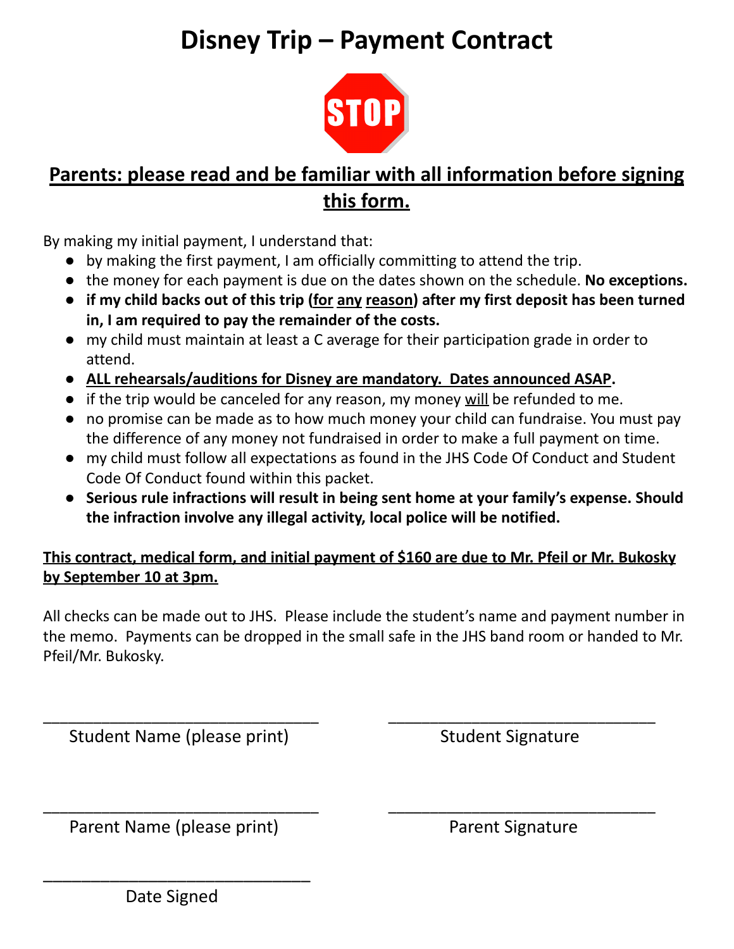## **Disney Trip – Payment Contract**



## **Parents: please read and be familiar with all information before signing this form.**

By making my initial payment, I understand that:

- by making the first payment, I am officially committing to attend the trip.
- **●** the money for each payment is due on the dates shown on the schedule. **No exceptions.**
- if my child backs out of this trip (for any reason) after my first deposit has been turned **in, I am required to pay the remainder of the costs.**
- my child must maintain at least a C average for their participation grade in order to attend.
- **● ALL rehearsals/auditions for Disney are mandatory. Dates announced ASAP.**
- if the trip would be canceled for any reason, my money will be refunded to me.
- no promise can be made as to how much money your child can fundraise. You must pay the difference of any money not fundraised in order to make a full payment on time.
- my child must follow all expectations as found in the JHS Code Of Conduct and Student Code Of Conduct found within this packet.
- **Serious rule infractions will result in being sent home at your family's expense. Should the infraction involve any illegal activity, local police will be notified.**

### **This contract, medical form, and initial payment of \$160 are due to Mr. Pfeil or Mr. Bukosky by September 10 at 3pm.**

All checks can be made out to JHS. Please include the student's name and payment number in the memo. Payments can be dropped in the small safe in the JHS band room or handed to Mr. Pfeil/Mr. Bukosky.

 $\overline{\phantom{a}}$  , and the contract of the contract of the contract of the contract of the contract of the contract of the contract of the contract of the contract of the contract of the contract of the contract of the contrac

Student Name (please print) Student Signature

 $\overline{\phantom{a}}$  , and the contract of the contract of the contract of the contract of the contract of the contract of the contract of the contract of the contract of the contract of the contract of the contract of the contrac Parent Name (please print) Parent Signature

\_\_\_\_\_\_\_\_\_\_\_\_\_\_\_\_\_\_\_\_\_\_\_\_\_\_\_\_

Date Signed